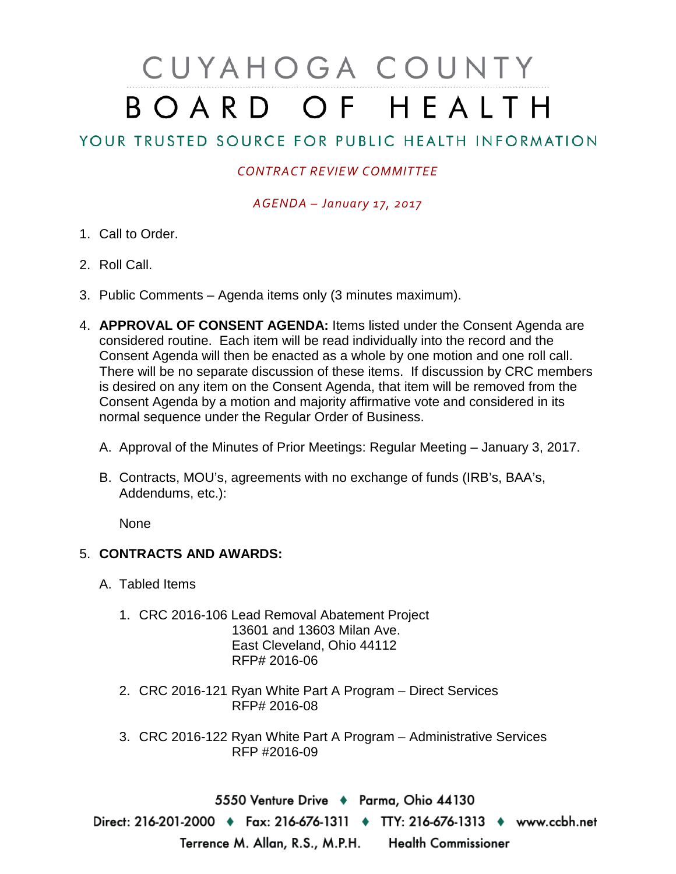## CUYAHOGA COUNTY BOARD OF HEALTH

## YOUR TRUSTED SOURCE FOR PUBLIC HEALTH INFORMATION

## *CONTRACT REVIEW COMMITTEE*

*AGENDA – January 17, 2017*

- 1. Call to Order.
- 2. Roll Call.
- 3. Public Comments Agenda items only (3 minutes maximum).
- 4. **APPROVAL OF CONSENT AGENDA:** Items listed under the Consent Agenda are considered routine. Each item will be read individually into the record and the Consent Agenda will then be enacted as a whole by one motion and one roll call. There will be no separate discussion of these items. If discussion by CRC members is desired on any item on the Consent Agenda, that item will be removed from the Consent Agenda by a motion and majority affirmative vote and considered in its normal sequence under the Regular Order of Business.
	- A. Approval of the Minutes of Prior Meetings: Regular Meeting January 3, 2017.
	- B. Contracts, MOU's, agreements with no exchange of funds (IRB's, BAA's, Addendums, etc.):

None

## 5. **CONTRACTS AND AWARDS:**

- A. Tabled Items
	- 1. CRC 2016-106 Lead Removal Abatement Project 13601 and 13603 Milan Ave. East Cleveland, Ohio 44112 RFP# 2016-06
	- 2. CRC 2016-121 Ryan White Part A Program Direct Services RFP# 2016-08
	- 3. CRC 2016-122 Ryan White Part A Program Administrative Services RFP #2016-09

5550 Venture Drive + Parma, Ohio 44130 Direct: 216-201-2000 • Fax: 216-676-1311 • TTY: 216-676-1313 • www.ccbh.net Terrence M. Allan, R.S., M.P.H. Health Commissioner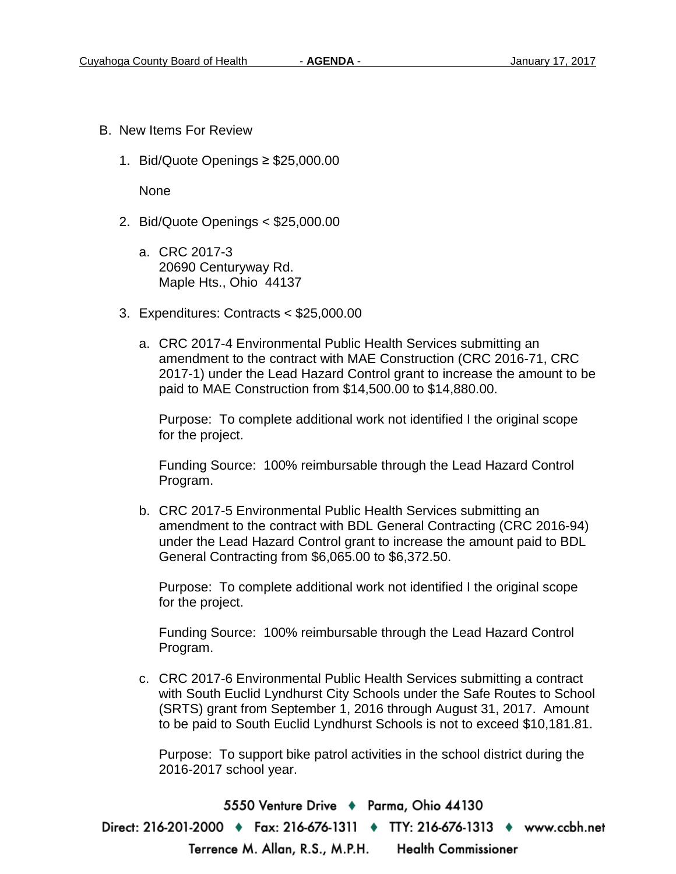- B. New Items For Review
	- 1. Bid/Quote Openings ≥ \$25,000.00

None

- 2. Bid/Quote Openings < \$25,000.00
	- a. CRC 2017-3 20690 Centuryway Rd. Maple Hts., Ohio 44137
- 3. Expenditures: Contracts < \$25,000.00
	- a. CRC 2017-4 Environmental Public Health Services submitting an amendment to the contract with MAE Construction (CRC 2016-71, CRC 2017-1) under the Lead Hazard Control grant to increase the amount to be paid to MAE Construction from \$14,500.00 to \$14,880.00.

Purpose: To complete additional work not identified I the original scope for the project.

Funding Source: 100% reimbursable through the Lead Hazard Control Program.

b. CRC 2017-5 Environmental Public Health Services submitting an amendment to the contract with BDL General Contracting (CRC 2016-94) under the Lead Hazard Control grant to increase the amount paid to BDL General Contracting from \$6,065.00 to \$6,372.50.

Purpose: To complete additional work not identified I the original scope for the project.

Funding Source: 100% reimbursable through the Lead Hazard Control Program.

c. CRC 2017-6 Environmental Public Health Services submitting a contract with South Euclid Lyndhurst City Schools under the Safe Routes to School (SRTS) grant from September 1, 2016 through August 31, 2017. Amount to be paid to South Euclid Lyndhurst Schools is not to exceed \$10,181.81.

Purpose: To support bike patrol activities in the school district during the 2016-2017 school year.

5550 Venture Drive + Parma, Ohio 44130

Direct: 216-201-2000 ♦ Fax: 216-676-1311 ♦ TTY: 216-676-1313 ♦ www.ccbh.net Terrence M. Allan, R.S., M.P.H. Health Commissioner